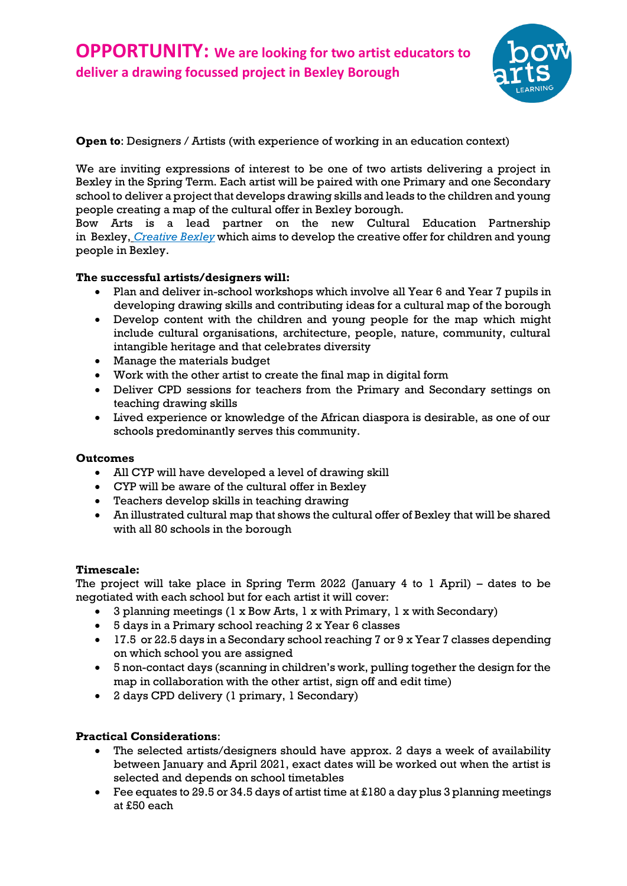

**Open to**: Designers / Artists (with experience of working in an education context)

We are inviting expressions of interest to be one of two artists delivering a project in Bexley in the Spring Term. Each artist will be paired with one Primary and one Secondary school to deliver a project that develops drawing skills and leads to the children and young people creating a map of the cultural offer in Bexley borough.

Bow Arts is a lead partner on the new Cultural Education Partnership in Bexley, *[Creative](https://www.anewdirection.org.uk/what-we-do/challenge-london/challenge-london-investments/creative-bexley) Bexley* which aims to develop the creative offer for children and young people in Bexley.

## **The successful artists/designers will:**

- Plan and deliver in-school workshops which involve all Year 6 and Year 7 pupils in developing drawing skills and contributing ideas for a cultural map of the borough
- Develop content with the children and young people for the map which might include cultural organisations, architecture, people, nature, community, cultural intangible heritage and that celebrates diversity
- Manage the materials budget
- Work with the other artist to create the final map in digital form
- Deliver CPD sessions for teachers from the Primary and Secondary settings on teaching drawing skills
- Lived experience or knowledge of the African diaspora is desirable, as one of our schools predominantly serves this community.

## **Outcomes**

- All CYP will have developed a level of drawing skill
- CYP will be aware of the cultural offer in Bexley
- Teachers develop skills in teaching drawing
- An illustrated cultural map that shows the cultural offer of Bexley that will be shared with all 80 schools in the borough

### **Timescale:**

The project will take place in Spring Term 2022 (January 4 to 1 April) – dates to be negotiated with each school but for each artist it will cover:

- 3 planning meetings (1 x Bow Arts, 1 x with Primary, 1 x with Secondary)
- 5 days in a Primary school reaching 2 x Year 6 classes
- 17.5 or 22.5 days in a Secondary school reaching 7 or 9 x Year 7 classes depending on which school you are assigned
- 5 non-contact days (scanning in children's work, pulling together the design for the map in collaboration with the other artist, sign off and edit time)
- 2 days CPD delivery (1 primary, 1 Secondary)

### **Practical Considerations**:

- The selected artists/designers should have approx. 2 days a week of availability between January and April 2021, exact dates will be worked out when the artist is selected and depends on school timetables
- Fee equates to 29.5 or 34.5 days of artist time at £180 a day plus 3 planning meetings at £50 each